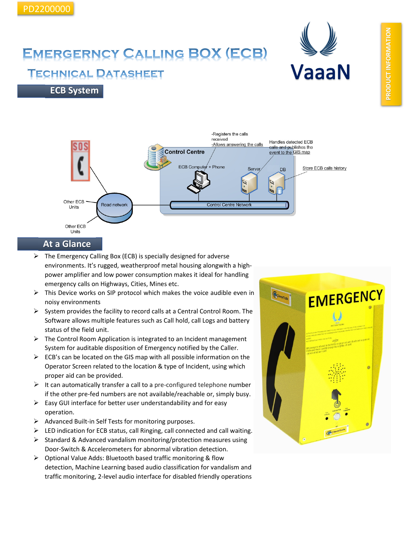# **VaaaN**

## **EMERGERNCY CALLING BOX (ECB)**

### **TECHNICAL DATASHEET**

**ECB System**



#### **At a Glance**

- $\triangleright$  The Emergency Calling Box (ECB) is specially designed for adverse environments. It's rugged, weatherproof metal housing alongwith a highpower amplifier and low power consumption makes it ideal for handling emergency calls on Highways, Cities, Mines etc.
- $\triangleright$  This Device works on SIP protocol which makes the voice audible even in noisy environments
- $\triangleright$  System provides the facility to record calls at a Central Control Room. The Software allows multiple features such as Call hold, call Logs and battery status of the field unit.
- $\triangleright$  The Control Room Application is integrated to an Incident management System for auditable disposition of Emergency notified by the Caller.
- $\triangleright$  ECB's can be located on the GIS map with all possible information on the Operator Screen related to the location & type of Incident, using which proper aid can be provided.
- $\triangleright$  It can automatically transfer a call to a pre-configured telephone number if the other pre-fed numbers are not available/reachable or, simply busy.
- $\triangleright$  Easy GUI interface for better user understandability and for easy operation.
- $\triangleright$  Advanced Built-in Self Tests for monitoring purposes.
- $\triangleright$  LED indication for ECB status, call Ringing, call connected and call waiting.
- $\triangleright$  Standard & Advanced vandalism monitoring/protection measures using Door-Switch & Accelerometers for abnormal vibration detection.
- $\triangleright$  Optional Value Adds: Bluetooth based traffic monitoring & flow detection, Machine Learning based audio classification for vandalism and traffic monitoring, 2-level audio interface for disabled friendly operations